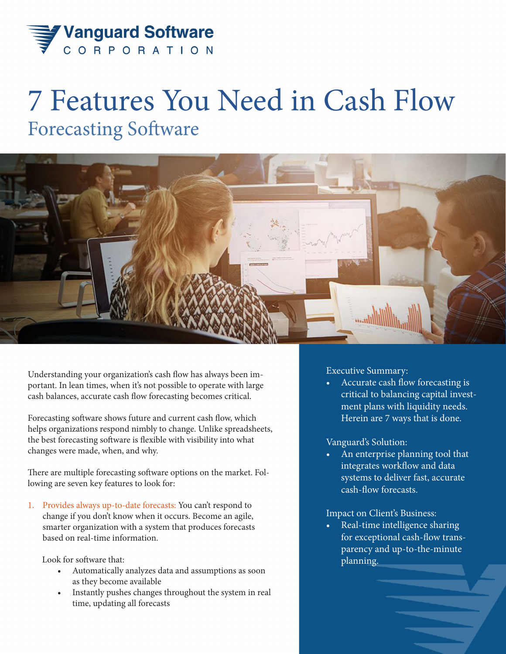

## 7 Features You Need in Cash Flow Forecasting Software



Understanding your organization's cash flow has always been important. In lean times, when it's not possible to operate with large cash balances, accurate cash flow forecasting becomes critical.

Forecasting software shows future and current cash flow, which helps organizations respond nimbly to change. Unlike spreadsheets, the best forecasting software is flexible with visibility into what changes were made, when, and why.

There are multiple forecasting software options on the market. Following are seven key features to look for:

1. Provides always up-to-date forecasts: You can't respond to change if you don't know when it occurs. Become an agile, smarter organization with a system that produces forecasts based on real-time information.

Look for software that:

- Automatically analyzes data and assumptions as soon as they become available
- Instantly pushes changes throughout the system in real time, updating all forecasts

Executive Summary:

• Accurate cash flow forecasting is critical to balancing capital investment plans with liquidity needs. Herein are 7 ways that is done.

## Vanguard's Solution:

• An enterprise planning tool that integrates workflow and data systems to deliver fast, accurate cash-flow forecasts.

## Impact on Client's Business:

Real-time intelligence sharing for exceptional cash-flow transparency and up-to-the-minute planning.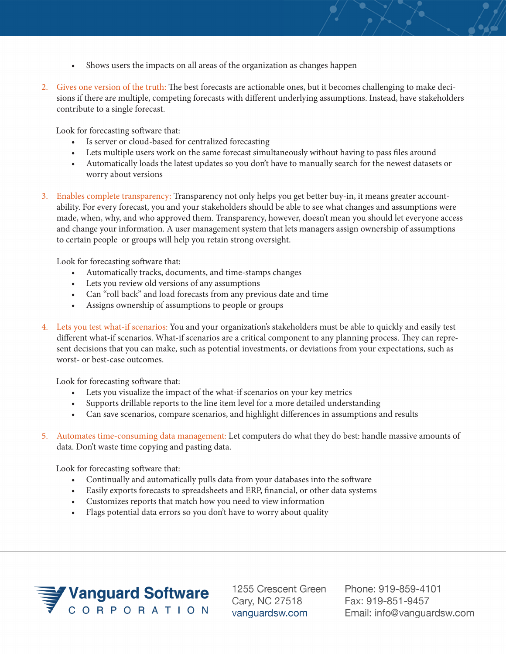- Shows users the impacts on all areas of the organization as changes happen
- 2. Gives one version of the truth: The best forecasts are actionable ones, but it becomes challenging to make decisions if there are multiple, competing forecasts with different underlying assumptions. Instead, have stakeholders contribute to a single forecast.

Look for forecasting software that:

- Is server or cloud-based for centralized forecasting
- Lets multiple users work on the same forecast simultaneously without having to pass files around
- Automatically loads the latest updates so you don't have to manually search for the newest datasets or worry about versions
- 3. Enables complete transparency: Transparency not only helps you get better buy-in, it means greater accountability. For every forecast, you and your stakeholders should be able to see what changes and assumptions were made, when, why, and who approved them. Transparency, however, doesn't mean you should let everyone access and change your information. A user management system that lets managers assign ownership of assumptions to certain people or groups will help you retain strong oversight.

Look for forecasting software that:

- Automatically tracks, documents, and time-stamps changes
- Lets you review old versions of any assumptions
- Can "roll back" and load forecasts from any previous date and time
- Assigns ownership of assumptions to people or groups
- 4. Lets you test what-if scenarios: You and your organization's stakeholders must be able to quickly and easily test different what-if scenarios. What-if scenarios are a critical component to any planning process. They can represent decisions that you can make, such as potential investments, or deviations from your expectations, such as worst- or best-case outcomes.

Look for forecasting software that:

- Lets you visualize the impact of the what-if scenarios on your key metrics
- Supports drillable reports to the line item level for a more detailed understanding
- Can save scenarios, compare scenarios, and highlight differences in assumptions and results

5. Automates time-consuming data management: Let computers do what they do best: handle massive amounts of data. Don't waste time copying and pasting data.

Look for forecasting software that:

- Continually and automatically pulls data from your databases into the software
- Easily exports forecasts to spreadsheets and ERP, financial, or other data systems
- Customizes reports that match how you need to view information
- Flags potential data errors so you don't have to worry about quality



1255 Crescent Green Cary, NC 27518 vanguardsw.com

Phone: 919-859-4101 Fax: 919-851-9457 Email: info@vanguardsw.com